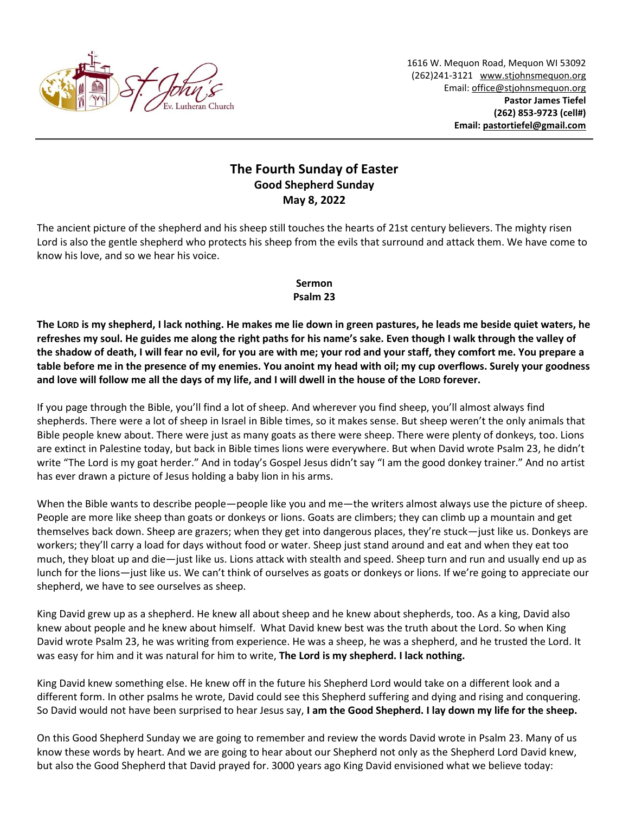

1616 W. Mequon Road, Mequon WI 53092 (262)241-3121 [www.stjohnsmequon.org](http://www.stjohnsmequon.org/) Email[: office@stjohnsmequon.org](mailto:office@stjohnsmequon.org) **Pastor James Tiefel (262) 853-9723 (cell#) Email: [pastortiefel@gmail.com](mailto:pastortiefel@gmail.com)**

## **The Fourth Sunday of Easter Good Shepherd Sunday May 8, 2022**

The ancient picture of the shepherd and his sheep still touches the hearts of 21st century believers. The mighty risen Lord is also the gentle shepherd who protects his sheep from the evils that surround and attack them. We have come to know his love, and so we hear his voice.

## **Sermon Psalm 23**

**The LORD is my shepherd, I lack nothing. He makes me lie down in green pastures, he leads me beside quiet waters, he refreshes my soul. He guides me along the right paths for his name's sake. Even though I walk through the valley of the shadow of death, I will fear no evil, for you are with me; your rod and your staff, they comfort me. You prepare a table before me in the presence of my enemies. You anoint my head with oil; my cup overflows. Surely your goodness and love will follow me all the days of my life, and I will dwell in the house of the LORD forever.**

If you page through the Bible, you'll find a lot of sheep. And wherever you find sheep, you'll almost always find shepherds. There were a lot of sheep in Israel in Bible times, so it makes sense. But sheep weren't the only animals that Bible people knew about. There were just as many goats as there were sheep. There were plenty of donkeys, too. Lions are extinct in Palestine today, but back in Bible times lions were everywhere. But when David wrote Psalm 23, he didn't write "The Lord is my goat herder." And in today's Gospel Jesus didn't say "I am the good donkey trainer." And no artist has ever drawn a picture of Jesus holding a baby lion in his arms.

When the Bible wants to describe people—people like you and me—the writers almost always use the picture of sheep. People are more like sheep than goats or donkeys or lions. Goats are climbers; they can climb up a mountain and get themselves back down. Sheep are grazers; when they get into dangerous places, they're stuck—just like us. Donkeys are workers; they'll carry a load for days without food or water. Sheep just stand around and eat and when they eat too much, they bloat up and die—just like us. Lions attack with stealth and speed. Sheep turn and run and usually end up as lunch for the lions—just like us. We can't think of ourselves as goats or donkeys or lions. If we're going to appreciate our shepherd, we have to see ourselves as sheep.

King David grew up as a shepherd. He knew all about sheep and he knew about shepherds, too. As a king, David also knew about people and he knew about himself. What David knew best was the truth about the Lord. So when King David wrote Psalm 23, he was writing from experience. He was a sheep, he was a shepherd, and he trusted the Lord. It was easy for him and it was natural for him to write, **The Lord is my shepherd. I lack nothing.**

King David knew something else. He knew off in the future his Shepherd Lord would take on a different look and a different form. In other psalms he wrote, David could see this Shepherd suffering and dying and rising and conquering. So David would not have been surprised to hear Jesus say, **I am the Good Shepherd. I lay down my life for the sheep.**

On this Good Shepherd Sunday we are going to remember and review the words David wrote in Psalm 23. Many of us know these words by heart. And we are going to hear about our Shepherd not only as the Shepherd Lord David knew, but also the Good Shepherd that David prayed for. 3000 years ago King David envisioned what we believe today: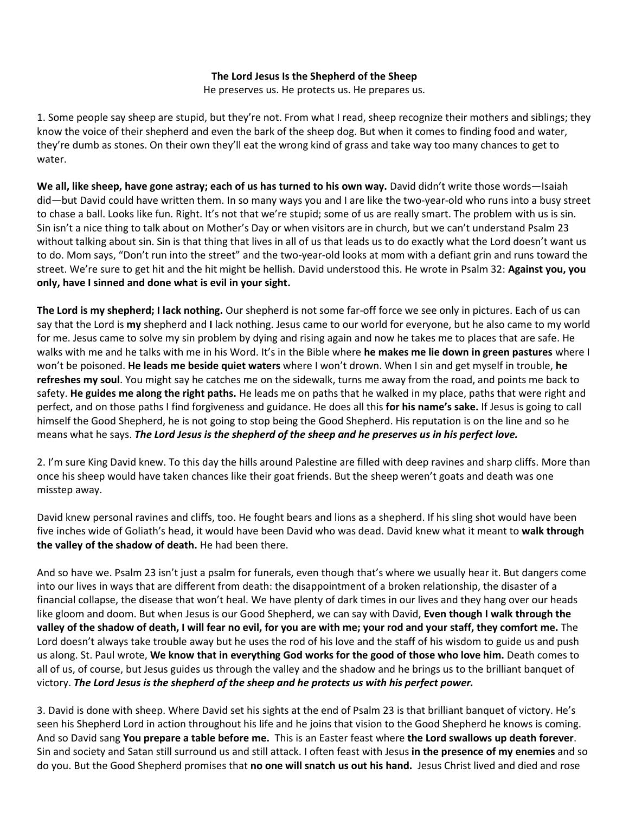## **The Lord Jesus Is the Shepherd of the Sheep**

He preserves us. He protects us. He prepares us.

1. Some people say sheep are stupid, but they're not. From what I read, sheep recognize their mothers and siblings; they know the voice of their shepherd and even the bark of the sheep dog. But when it comes to finding food and water, they're dumb as stones. On their own they'll eat the wrong kind of grass and take way too many chances to get to water.

We all, like sheep, have gone astray; each of us has turned to his own way. David didn't write those words—Isaiah did—but David could have written them. In so many ways you and I are like the two-year-old who runs into a busy street to chase a ball. Looks like fun. Right. It's not that we're stupid; some of us are really smart. The problem with us is sin. Sin isn't a nice thing to talk about on Mother's Day or when visitors are in church, but we can't understand Psalm 23 without talking about sin. Sin is that thing that lives in all of us that leads us to do exactly what the Lord doesn't want us to do. Mom says, "Don't run into the street" and the two-year-old looks at mom with a defiant grin and runs toward the street. We're sure to get hit and the hit might be hellish. David understood this. He wrote in Psalm 32: **Against you, you only, have I sinned and done what is evil in your sight.**

**The Lord is my shepherd; I lack nothing.** Our shepherd is not some far-off force we see only in pictures. Each of us can say that the Lord is **my** shepherd and **I** lack nothing. Jesus came to our world for everyone, but he also came to my world for me. Jesus came to solve my sin problem by dying and rising again and now he takes me to places that are safe. He walks with me and he talks with me in his Word. It's in the Bible where **he makes me lie down in green pastures** where I won't be poisoned. **He leads me beside quiet waters** where I won't drown. When I sin and get myself in trouble, **he refreshes my soul**. You might say he catches me on the sidewalk, turns me away from the road, and points me back to safety. **He guides me along the right paths.** He leads me on paths that he walked in my place, paths that were right and perfect, and on those paths I find forgiveness and guidance. He does all this **for his name's sake.** If Jesus is going to call himself the Good Shepherd, he is not going to stop being the Good Shepherd. His reputation is on the line and so he means what he says. *The Lord Jesus is the shepherd of the sheep and he preserves us in his perfect love.*

2. I'm sure King David knew. To this day the hills around Palestine are filled with deep ravines and sharp cliffs. More than once his sheep would have taken chances like their goat friends. But the sheep weren't goats and death was one misstep away.

David knew personal ravines and cliffs, too. He fought bears and lions as a shepherd. If his sling shot would have been five inches wide of Goliath's head, it would have been David who was dead. David knew what it meant to **walk through the valley of the shadow of death.** He had been there.

And so have we. Psalm 23 isn't just a psalm for funerals, even though that's where we usually hear it. But dangers come into our lives in ways that are different from death: the disappointment of a broken relationship, the disaster of a financial collapse, the disease that won't heal. We have plenty of dark times in our lives and they hang over our heads like gloom and doom. But when Jesus is our Good Shepherd, we can say with David, **Even though I walk through the valley of the shadow of death, I will fear no evil, for you are with me; your rod and your staff, they comfort me.** The Lord doesn't always take trouble away but he uses the rod of his love and the staff of his wisdom to guide us and push us along. St. Paul wrote, **We know that in everything God works for the good of those who love him.** Death comes to all of us, of course, but Jesus guides us through the valley and the shadow and he brings us to the brilliant banquet of victory. *The Lord Jesus is the shepherd of the sheep and he protects us with his perfect power.* 

3. David is done with sheep. Where David set his sights at the end of Psalm 23 is that brilliant banquet of victory. He's seen his Shepherd Lord in action throughout his life and he joins that vision to the Good Shepherd he knows is coming. And so David sang **You prepare a table before me.** This is an Easter feast where **the Lord swallows up death forever**. Sin and society and Satan still surround us and still attack. I often feast with Jesus **in the presence of my enemies** and so do you. But the Good Shepherd promises that **no one will snatch us out his hand.** Jesus Christ lived and died and rose